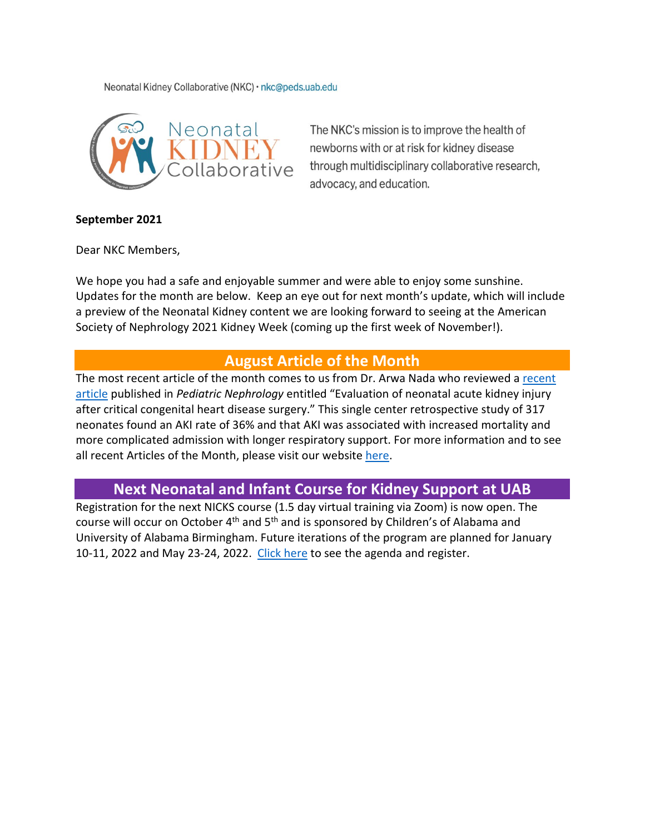Neonatal Kidney Collaborative (NKC) · nkc@peds.uab.edu



The NKC's mission is to improve the health of newborns with or at risk for kidney disease through multidisciplinary collaborative research, advocacy, and education.

### **September 2021**

Dear NKC Members,

We hope you had a safe and enjoyable summer and were able to enjoy some sunshine. Updates for the month are below. Keep an eye out for next month's update, which will include a preview of the Neonatal Kidney content we are looking forward to seeing at the American Society of Nephrology 2021 Kidney Week (coming up the first week of November!).

## **August Article of the Month**

The most [recent](https://doi.org/10.1007/s00467-020-04890-z) article of the month comes to us from Dr. Arwa Nada who reviewed a recent [article](https://doi.org/10.1007/s00467-020-04890-z) published in *Pediatric Nephrology* entitled "Evaluation of neonatal acute kidney injury after critical congenital heart disease surgery." This single center retrospective study of 317 neonates found an AKI rate of 36% and that AKI was associated with increased mortality and more complicated admission with longer respiratory support. For more information and to see all recent Articles of the Month, please visit our website [here.](https://babykidney.org/education/articles/aug2021)

# **Next Neonatal and Infant Course for Kidney Support at UAB**

Registration for the next NICKS course (1.5 day virtual training via Zoom) is now open. The course will occur on October 4<sup>th</sup> and 5<sup>th</sup> and is sponsored by Children's of Alabama and University of Alabama Birmingham. Future iterations of the program are planned for January 10-11, 2022 and May 23-24, 2022. [Click here](http://give.childrensal.org/site/Calendar?view=Detail&id=102952) to see the agenda and register.